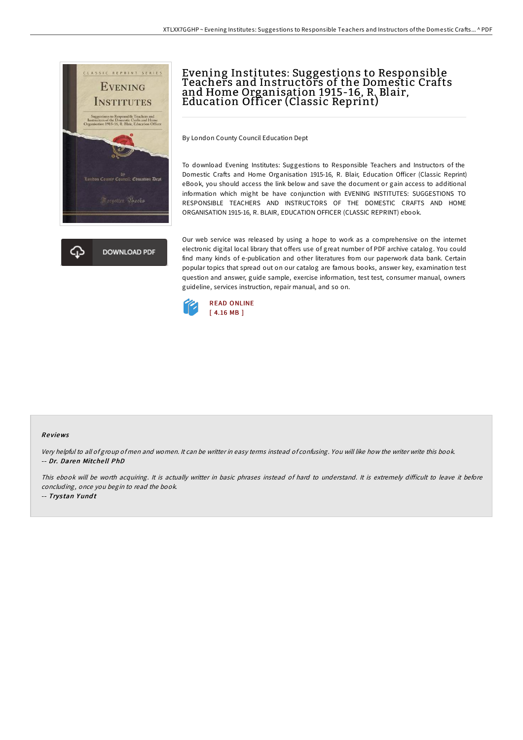

## Evening Institutes: Suggestions to Responsible Teachers and Instructors of the Domestic Crafts and Home Organisation 1915-16, R. Blair, Education Officer (Classic Reprint)

By London County Council Education Dept

To download Evening Institutes: Suggestions to Responsible Teachers and Instructors of the Domestic Crafts and Home Organisation 1915-16, R. Blair, Education Officer (Classic Reprint) eBook, you should access the link below and save the document or gain access to additional information which might be have conjunction with EVENING INSTITUTES: SUGGESTIONS TO RESPONSIBLE TEACHERS AND INSTRUCTORS OF THE DOMESTIC CRAFTS AND HOME ORGANISATION 1915-16, R. BLAIR, EDUCATION OFFICER (CLASSIC REPRINT) ebook.

Our web service was released by using a hope to work as a comprehensive on the internet electronic digital local library that offers use of great number of PDF archive catalog. You could find many kinds of e-publication and other literatures from our paperwork data bank. Certain popular topics that spread out on our catalog are famous books, answer key, examination test question and answer, guide sample, exercise information, test test, consumer manual, owners guideline, services instruction, repair manual, and so on.



## Re views

Very helpful to all of group of men and women. It can be writter in easy terms instead of confusing. You will like how the writer write this book. -- Dr. Daren Mitche ll PhD

This ebook will be worth acquiring. It is actually writter in basic phrases instead of hard to understand. It is extremely difficult to leave it before concluding, once you begin to read the book.

-- Trystan Yundt